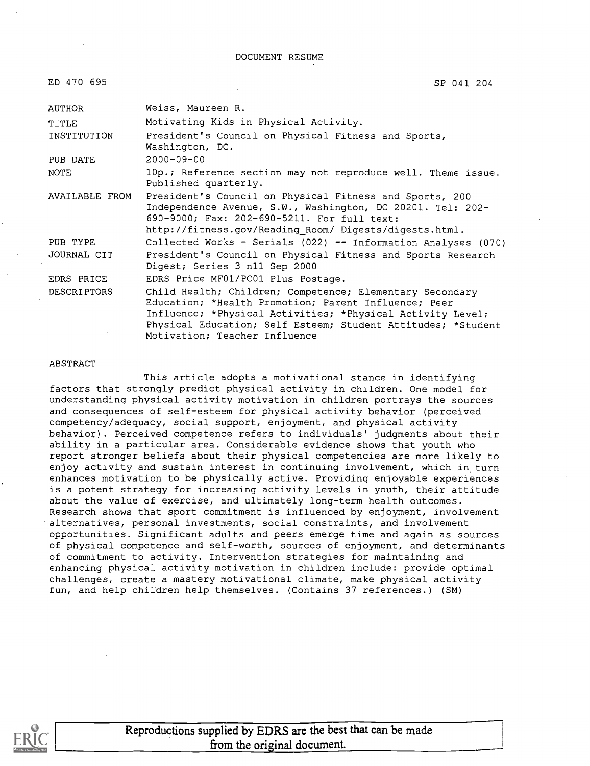DOCUMENT RESUME

| ED 470 695            | SP 041 204                                                                                                                                                                                                                                                                      |  |
|-----------------------|---------------------------------------------------------------------------------------------------------------------------------------------------------------------------------------------------------------------------------------------------------------------------------|--|
| AUTHOR                | Weiss, Maureen R.                                                                                                                                                                                                                                                               |  |
| TITLE                 | Motivating Kids in Physical Activity.                                                                                                                                                                                                                                           |  |
| INSTITUTION           | President's Council on Physical Fitness and Sports,<br>Washington, DC.                                                                                                                                                                                                          |  |
| PUB DATE              | $2000 - 09 - 00$                                                                                                                                                                                                                                                                |  |
| <b>NOTE</b>           | 10p.; Reference section may not reproduce well. Theme issue.<br>Published quarterly.                                                                                                                                                                                            |  |
| <b>AVAILABLE FROM</b> | President's Council on Physical Fitness and Sports, 200<br>Independence Avenue, S.W., Washington, DC 20201. Tel: 202-<br>690-9000; Fax: 202-690-5211. For full text:<br>http://fitness.gov/Reading_Room/ Digests/digests.html.                                                  |  |
| PUB TYPE              | Collected Works - Serials (022) -- Information Analyses (070)                                                                                                                                                                                                                   |  |
| JOURNAL CIT           | President's Council on Physical Fitness and Sports Research<br>Digest; Series 3 n11 Sep 2000                                                                                                                                                                                    |  |
| EDRS PRICE            | EDRS Price MF01/PC01 Plus Postage.                                                                                                                                                                                                                                              |  |
| <b>DESCRIPTORS</b>    | Child Health; Children; Competence; Elementary Secondary<br>Education; *Health Promotion; Parent Influence; Peer<br>Influence; *Physical Activities; *Physical Activity Level;<br>Physical Education; Self Esteem; Student Attitudes; *Student<br>Motivation; Teacher Influence |  |

#### ABSTRACT

This article adopts a motivational stance in identifying factors that strongly predict physical activity in children. One model for understanding physical activity motivation in children portrays the sources and consequences of self-esteem for physical activity behavior (perceived competency/adequacy, social support, enjoyment, and physical activity behavior). Perceived competence refers to individuals' judgments about their ability in a particular area. Considerable evidence shows that youth who report stronger beliefs about their physical competencies are more likely to enjoy activity and sustain interest in continuing involvement, which in turn enhances motivation to be physically active. Providing enjoyable experiences is a potent strategy for increasing activity levels in youth, their attitude about the value of exercise, and ultimately long-term health outcomes. Research shows that sport commitment is influenced by enjoyment, involvement alternatives, personal investments, social constraints, and involvement opportunities. Significant adults and peers emerge time and again as sources of physical competence and self-worth, sources of enjoyment, and determinants of commitment to activity. Intervention strategies for maintaining and enhancing physical activity motivation in children include: provide optimal challenges, create a mastery motivational climate, make physical activity fun, and help children help themselves. (Contains 37 references.) (SM)

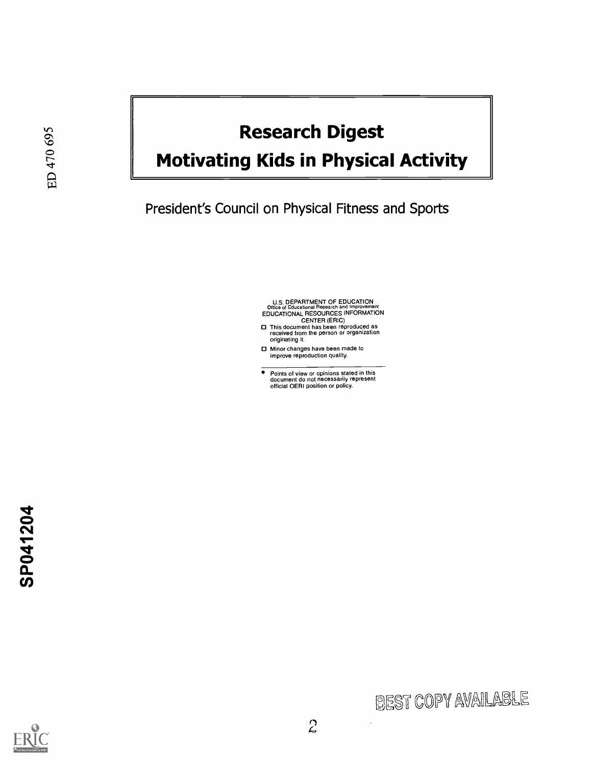# Research Digest

# Motivating Kids in Physical Activity

President's Council on Physical Fitness and Sports

U.S. DEPARTMENT OF EDUCATION<br>Office of Educational Research and Improvement<br>EDUCATIONAL RESOURCES INFORMATION<br>This document has been reproduced as<br>received from the person or organization

- originating it.
- **D** Minor changes have been made to improve reproduction quality.
- Points of view or opinions stated in this document do not necessarily represent official OERI position or policy.



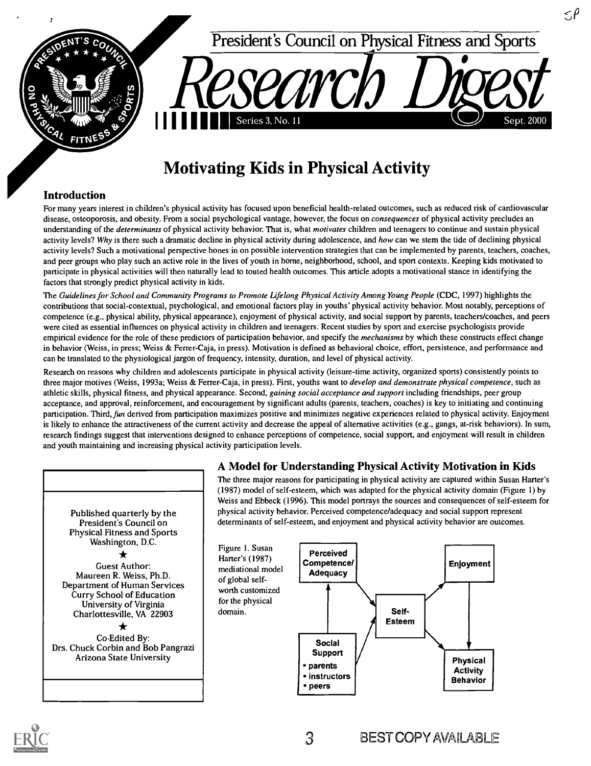

### Motivating Kids in Physical Activity

#### Introduction

For many years interest in children's physical activity has focused upon beneficial health-related outcomes, such as reduced risk of cardiovascular disease, osteoporosis, and obesity. From a social psychological vantage, however, the focus on *consequences* of physical activity precludes an understanding of the *determinants* of physical activity behavior. That is, what *motivates* children and teenagers to continue and sustain physical activity levels? Why is there such a dramatic decline in physical activity during adolescence, and how can we stem the tide of declining physical activity levels? Such a motivational perspective hones in on possible intervention strategies that can be implemented by parents, teachers, coaches, and peer groups who play such an active role in the lives of youth in home, neighborhood, school, and sport contexts. Keeping kids motivated to participate in physical activities will then naturally lead to touted health outcomes. This article adopts a motivational stance in identifying the factors that strongly predict physical activity in kids.

The Guidelines for School and Community Programs to Promote Lifelong Physical Activity Among Young People (CDC, 1997) highlights the contributions that social-contextual, psychological, and emotional factors play in youths' physical activity behavior. Most notably, perceptions of competence (e.g., physical ability, physical appearance), enjoyment of physical activity, and social support by parents, teachers/coaches, and peers were cited as essential influences on physical activity in children and teenagers. Recent studies by sport and exercise psychologists provide empirical evidence for the role of these predictors of participation behavior, and specify the *mechanisms* by which these constructs effect change in behavior (Weiss, in press; Weiss & Ferrer-Caja, in press). Motivation is defined as behavioral choice, effort, persistence, and performance and can be translated to the physiological jargon of frequency, intensity, duration, and level of physical activity.

Research on reasons why children and adolescents participate in physical activity (leisure-time activity, organized sports) consistently points to three major motives (Weiss, 1993a; Weiss & Ferrer-Caja, in press). First, youths want to *develop and demonstrate physical competence*, such as athletic skills, physical fitness, and physical appearance. Second, gaining social acceptance and support including friendships, peer group acceptance, and approval, reinforcement, and encouragement by significant adults (parents, teachers, coaches) is key to initiating and continuing participation. Third, fun derived from participation maximizes positive and minimizes negative experiences related to physical activity. Enjoyment is likely to enhance the attractiveness of the current activity and decrease the appeal of alternative activities (e.g., gangs, at-risk behaviors). In sum, research findings suggest that interventions designed to enhance perceptions of competence, social support, and enjoyment will result in children and youth maintaining and increasing physical activity participation levels.

of global self-

domain.

#### Published quarterly by the President's Council on Physical Fitness and Sports Washington, D.C.  $\bigstar$ Guest Author: Maureen R. Weiss, Ph.D. Department of Human Services Curry School of Education University of Virginia Charlottesville, VA 22903 Co-Edited By: Drs. Chuck Corbin and Bob Pangrazi Arizona State University

#### A Model for Understanding Physical Activity Motivation in Kids

The three major reasons for participating in physical activity are captured within Susan Harter's (1987) model of self-esteem, which was adapted for the physical activity domain (Figure 1) by Weiss and Ebbeck (1996). This model portrays the sources and consequences of self-esteem for physical activity behavior. Perceived competence/adequacy and social support represent determinants of self-esteem, and enjoyment and physical activity behavior are outcomes.

5P



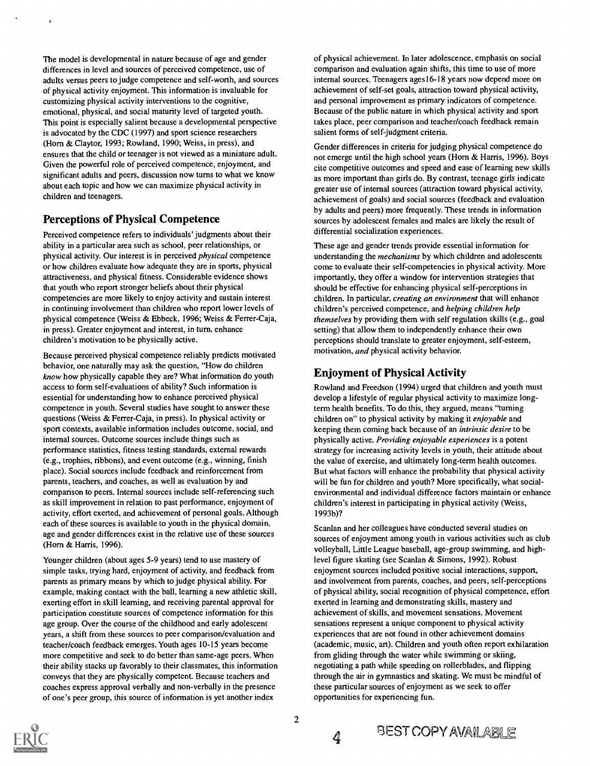The model is developmental in nature because of age and gender differences in level and sources of perceived competence, use of adults versus peers to judge competence and self-worth, and sources of physical activity enjoyment. This information is invaluable for customizing physical activity interventions to the cognitive, emotional, physical, and social maturity level of targeted youth. This point is especially salient because a developmental perspective is advocated by the CDC (1997) and sport science researchers (Horn & Claytor, 1993; Rowland, 1990; Weiss, in press), and ensures that the child or teenager is not viewed as a miniature adult. Given the powerful role of perceived competence, enjoyment, and significant adults and peers, discussion now turns to what we know about each topic and how we can maximize physical activity in children and teenagers.

#### Perceptions of Physical Competence

Perceived competence refers to individuals' judgments about their ability in a particular area such as school, peer relationships, or physical activity. Our interest is in perceived *physical* competence or how children evaluate how adequate they are in sports, physical attractiveness, and physical fitness. Considerable evidence shows that youth who report stronger beliefs about their physical competencies are more likely to enjoy activity and sustain interest in continuing involvement than children who report lower levels of physical competence (Weiss & Ebbeck, 1996; Weiss & Ferrer-Caja, in press). Greater enjoyment and interest, in turn, enhance children's motivation to be physically active.

Because perceived physical competence reliably predicts motivated behavior, one naturally may ask the question, "How do children know how physically capable they are? What information do youth access to form self-evaluations of ability? Such information is essential for understanding how to enhance perceived physical competence in youth. Several studies have sought to answer these questions (Weiss & Ferrer-Caja, in press). In physical activity or sport contexts, available information includes outcome, social, and internal sources. Outcome sources include things such as performance statistics, fitness testing standards, external rewards (e.g., trophies, ribbons), and event outcome (e.g., winning, finish place). Social sources include feedback and reinforcement from parents, teachers, and coaches, as well as evaluation by and comparison to peers. Internal sources include self-referencing such as skill improvement in relation to past performance, enjoyment of activity, effort exerted, and achievement of personal goals. Although each of these sources is available to youth in the physical domain, age and gender differences exist in the relative use of these sources (Horn & Harris, 1996).

Younger children (about ages 5-9 years) tend to use mastery of simple tasks, trying hard, enjoyment of activity, and feedback from parents as primary means by which to judge physical ability. For example, making contact with the ball, learning a new athletic skill, exerting effort in skill learning, and receiving parental approval for participation constitute sources of competence information for this age group. Over the course of the childhood and early adolescent years, a shift from these sources to peer comparison/evaluation and teacher/coach feedback emerges. Youth ages 10-15 years become more competitive and seek to do better than same-age peers. When their ability stacks up favorably to their classmates, this information conveys that they are physically competent. Because teachers and coaches express approval verbally and non-verbally in the presence of one's peer group, this source of information is yet another index

of physical achievement. In later adolescence, emphasis on social comparison and evaluation again shifts, this time to use of more internal sources. Teenagers ages l6 -18 years now depend more on achievement of self-set goals, attraction toward physical activity, and personal improvement as primary indicators of competence. Because of the public nature in which physical activity and sport takes place, peer comparison and teacher/coach feedback remain salient forms of self-judgment criteria.

Gender differences in criteria for judging physical competence do not emerge until the high school years (Horn & Harris, 1996). Boys cite competitive outcomes and speed and ease of learning new skills as more important than girls do. By contrast, teenage girls indicate greater use of internal sources (attraction toward physical activity, achievement of goals) and social sources (feedback and evaluation by adults and peers) more frequently. These trends in information sources by adolescent females and males are likely the result of differential socialization experiences.

These age and gender trends provide essential information for understanding the mechanisms by which children and adolescents come to evaluate their self-competencies in physical activity. More importantly, they offer a window for intervention strategies that should be effective for enhancing physical self-perceptions in children. In particular, creating an environment that will enhance children's perceived competence, and helping children help themselves by providing them with self regulation skills (e.g., goal setting) that allow them to independently enhance their own perceptions should translate to greater enjoyment, self-esteem, motivation, and physical activity behavior.

#### Enjoyment of Physical Activity

Rowland and Freedson (1994) urged that children and youth must develop a lifestyle of regular physical activity to maximize longterm health benefits. To do this, they argued, means "turning children on" to physical activity by making it enjoyable and keeping them coming back because of an intrinsic desire to be physically active. Providing enjoyable experiences is a potent strategy for increasing activity levels in youth, their attitude about the value of exercise, and ultimately long-term health outcomes. But what factors will enhance the probability that physical activity will be fun for children and youth? More specifically, what socialenvironmental and individual difference factors maintain or enhance children's interest in participating in physical activity (Weiss, 1993b)?

Scanlan and her colleagues have conducted several studies on sources of enjoyment among youth in various activities such as club volleyball, Little League baseball, age-group swimming, and highlevel figure skating (see Scanlan & Simons, 1992). Robust enjoyment sources included positive social interactions, support, and involvement from parents, coaches, and peers, self-perceptions of physical ability, social recognition of physical competence, effort exerted in learning and demonstrating skills, mastery and achievement of skills, and movement sensations. Movement sensations represent a unique component to physical activity experiences that are not found in other achievement domains (academic, music, art). Children and youth often report exhilaration from gliding through the water while swimming or skiing, negotiating a path while speeding on rollerblades, and flipping through the air in gymnastics and skating. We must be mindful of these particular sources of enjoyment as we seek to offer opportunities for experiencing fun.



4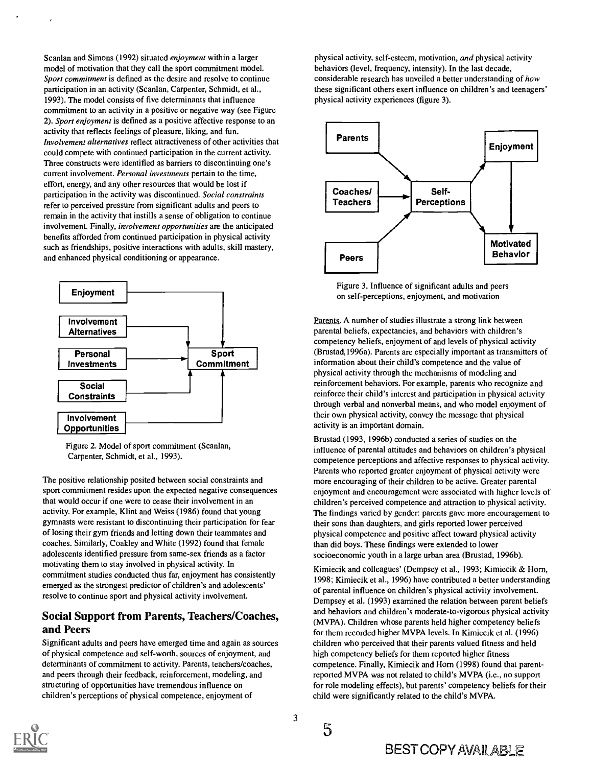Scanlan and Simons (1992) situated enjoyment within a larger model of motivation that they call the sport commitment model. Sport commitment is defined as the desire and resolve to continue participation in an activity (Scanlan, Carpenter, Schmidt, et al., 1993). The model consists of five determinants that influence commitment to an activity in a positive or negative way (see Figure 2). Sport enjoyment is defined as a positive affective response to an activity that reflects feelings of pleasure, liking, and fun. Involvement alternatives reflect attractiveness of other activities that could compete with continued participation in the current activity. Three constructs were identified as barriers to discontinuing one's current involvement. Personal investments pertain to the time, effort, energy, and any other resources that would be lost if participation in the activity was discontinued. Social constraints refer to perceived pressure from significant adults and peers to remain in the activity that instills a sense of obligation to continue involvement. Finally, involvement opportunities are the anticipated benefits afforded from continued participation in physical activity such as friendships, positive interactions with adults, skill mastery, and enhanced physical conditioning or appearance.





The positive relationship posited between social constraints and sport commitment resides upon the expected negative consequences that would occur if one were to cease their involvement in an activity. For example, Klint and Weiss (1986) found that young gymnasts were resistant to discontinuing their participation for fear of losing their gym friends and letting down their teammates and coaches. Similarly, Coakley and White (1992) found that female adolescents identified pressure from same-sex friends as a factor motivating them to stay involved in physical activity. In commitment studies conducted thus far, enjoyment has consistently emerged as the strongest predictor of children's and adolescents' resolve to continue sport and physical activity involvement.

#### Social Support from Parents, Teachers/Coaches, and Peers

Significant adults and peers have emerged time and again as sources of physical competence and self-worth, sources of enjoyment, and determinants of commitment to activity. Parents, teachers/coaches, and peers through their feedback, reinforcement, modeling, and structuring of opportunities have tremendous influence on children's perceptions of physical competence, enjoyment of

physical activity, self-esteem, motivation, and physical activity behaviors (level, frequency, intensity). In the last decade, considerable research has unveiled a better understanding of how these significant others exert influence on children's and teenagers' physical activity experiences (figure 3).



Figure 3. Influence of significant adults and peers on self-perceptions, enjoyment, and motivation

Parents. A number of studies illustrate a strong link between parental beliefs, expectancies, and behaviors with children's competency beliefs, enjoyment of and levels of physical activity (Brustad,1996a). Parents are especially important as transmitters of information about their child's competence and the value of physical activity through the mechanisms of modeling and reinforcement behaviors. For example, parents who recognize and reinforce their child's interest and participation in physical activity through verbal and nonverbal means, and who model enjoyment of their own physical activity, convey the message that physical activity is an important domain.

Brustad (1993, 1996b) conducted a series of studies on the influence of parental attitudes and behaviors on children's physical competence perceptions and affective responses to physical activity. Parents who reported greater enjoyment of physical activity were more encouraging of their children to be active. Greater parental enjoyment and encouragement were associated with higher levels of children's perceived competence and attraction to physical activity. The findings varied by gender: parents gave more encouragement to their sons than daughters, and girls reported lower perceived physical competence and positive affect toward physical activity than did boys. These findings were extended to lower socioeconomic youth in a large urban area (Brustad, 1996b).

Kimiecik and colleagues' (Dempsey et al., 1993; Kimiecik & Horn, 1998; Kimiecik et al., 1996) have contributed a better understanding of parental influence on children's physical activity involvement. Dempsey et al. (1993) examined the relation between parent beliefs and behaviors and children's moderate-to-vigorous physical activity (MVPA). Children whose parents held higher competency beliefs for them recorded higher MVPA levels. In Kimiecik et al. (1996) children who perceived that their parents valued fitness and held high competency beliefs for them reported higher fitness competence. Finally, Kimiecik and Horn (1998) found that parentreported MVPA was not related to child's MVPA (i.e., no support for role modeling effects), but parents' competency beliefs for their child were significantly related to the child's MVPA.



5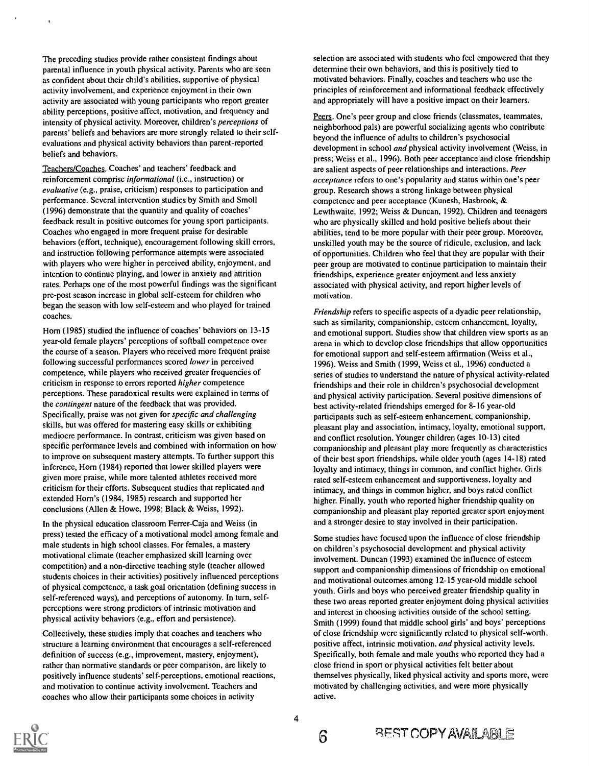The preceding studies provide rather consistent findings about parental influence in youth physical activity. Parents who are seen as confident about their child's abilities, supportive of physical activity involvement, and experience enjoyment in their own activity are associated with young participants who report greater ability perceptions, positive affect, motivation, and frequency and intensity of physical activity. Moreover, children's perceptions of parents' beliefs and behaviors are more strongly related to their selfevaluations and physical activity behaviors than parent-reported beliefs and behaviors.

Teachers/Coaches. Coaches' and teachers' feedback and reinforcement comprise informational (i.e., instruction) or evaluative (e.g., praise, criticism) responses to participation and performance. Several intervention studies by Smith and Smoll (1996) demonstrate that the quantity and quality of coaches' feedback result in positive outcomes for young sport participants. Coaches who engaged in more frequent praise for desirable behaviors (effort, technique), encouragement following skill errors, and instruction following performance attempts were associated with players who were higher in perceived ability, enjoyment, and intention to continue playing, and lower in anxiety and attrition rates. Perhaps one of the most powerful findings was the significant pre-post season increase in global self-esteem for children who began the season with low self-esteem and who played for trained coaches.

Horn (1985) studied the influence of coaches' behaviors on 13-15 year-old female players' perceptions of softball competence over the course of a season. Players who received more frequent praise following successful performances scored lower in perceived competence, while players who received greater frequencies of criticism in response to errors reported higher competence perceptions. These paradoxical results were explained in terms of the contingent nature of the feedback that was provided. Specifically, praise was not given for specific and challenging skills, but was offered for mastering easy skills or exhibiting mediocre performance. In contrast, criticism was given based on specific performance levels and combined with information on how to improve on subsequent mastery attempts. To further support this inference, Horn (1984) reported that lower skilled players were given more praise, while more talented athletes received more criticism for their efforts. Subsequent studies that replicated and extended Horn's (1984, 1985) research and supported her conclusions (Allen & Howe, 1998; Black & Weiss, 1992).

In the physical education classroom Ferrer-Caja and Weiss (in press) tested the efficacy of a motivational model among female and male students in high school classes. For females, a mastery motivational climate (teacher emphasized skill learning over competition) and a non-directive teaching style (teacher allowed students choices in their activities) positively influenced perceptions of physical competence, a task goal orientation (defining success in self-referenced ways), and perceptions of autonomy. In turn, selfperceptions were strong predictors of intrinsic motivation and physical activity behaviors (e.g., effort and persistence).

Collectively, these studies imply that coaches and teachers who structure a learning environment that encourages a self-referenced definition of success (e.g., improvement, mastery, enjoyment), rather than normative standards or peer comparison, are likely to positively influence students' self-perceptions, emotional reactions, and motivation to continue activity involvement. Teachers and coaches who allow their participants some choices in activity

selection are associated with students who feel empowered that they determine their own behaviors, and this is positively tied to motivated behaviors. Finally, coaches and teachers who use the principles of reinforcement and informational feedback effectively and appropriately will have a positive impact on their learners.

Peers. One's peer group and close friends (classmates, teammates, neighborhood pals) are powerful socializing agents who contribute beyond the influence of adults to children's psychosocial development in school *and* physical activity involvement (Weiss, in press; Weiss et al., 1996). Both peer acceptance and close friendship are salient aspects of peer relationships and interactions. Peer acceptance refers to one's popularity and status within one's peer group. Research shows a strong linkage between physical competence and peer acceptance (Kunesh, Hasbrook, & Lewthwaite, 1992; Weiss & Duncan, 1992). Children and teenagers who are physically skilled and hold positive beliefs about their abilities, tend to be more popular with their peer group. Moreover, unskilled youth may be the source of ridicule, exclusion, and lack of opportunities. Children who feel that they are popular with their peer group are motivated to continue participation to maintain their friendships, experience greater enjoyment and less anxiety associated with physical activity, and report higher levels of motivation.

Friendship refers to specific aspects of a dyadic peer relationship, such as similarity, companionship, esteem enhancement, loyalty, and emotional support. Studies show that children view sports as an arena in which to develop close friendships that allow opportunities for emotional support and self-esteem affirmation (Weiss et al., 1996). Weiss and Smith (1999, Weiss et al., 1996) conducted a series of studies to understand the nature of physical activity-related friendships and their role in children's psychosocial development and physical activity participation. Several positive dimensions of best activity-related friendships emerged for 8-16 year-old participants such as self-esteem enhancement, companionship, pleasant play and association, intimacy, loyalty, emotional support, and conflict resolution. Younger children (ages 10-13) cited companionship and pleasant play more frequently as characteristics of their best sport friendships, while older youth (ages 14-18) rated loyalty and intimacy, things in common, and conflict higher. Girls rated self-esteem enhancement and supportiveness, loyalty and intimacy, and things in common higher, and boys rated conflict higher. Finally, youth who reported higher friendship quality on companionship and pleasant play reported greater sport enjoyment and a stronger desire to stay involved in their participation.

Some studies have focused upon the influence of close friendship on children's psychosocial development and physical activity involvement. Duncan (1993) examined the influence of esteem support and companionship dimensions of friendship on emotional and motivational outcomes among 12-15 year-old middle school youth. Girls and boys who perceived greater friendship quality in these two areas reported greater enjoyment doing physical activities and interest in choosing activities outside of the school setting. Smith (1999) found that middle school girls' and boys' perceptions of close friendship were significantly related to physical self-worth, positive affect, intrinsic motivation, and physical activity levels. Specifically, both female and male youths who reported they had a close friend in sport or physical activities felt better about themselves physically, liked physical activity and sports more, were motivated by challenging activities, and were more physically active.

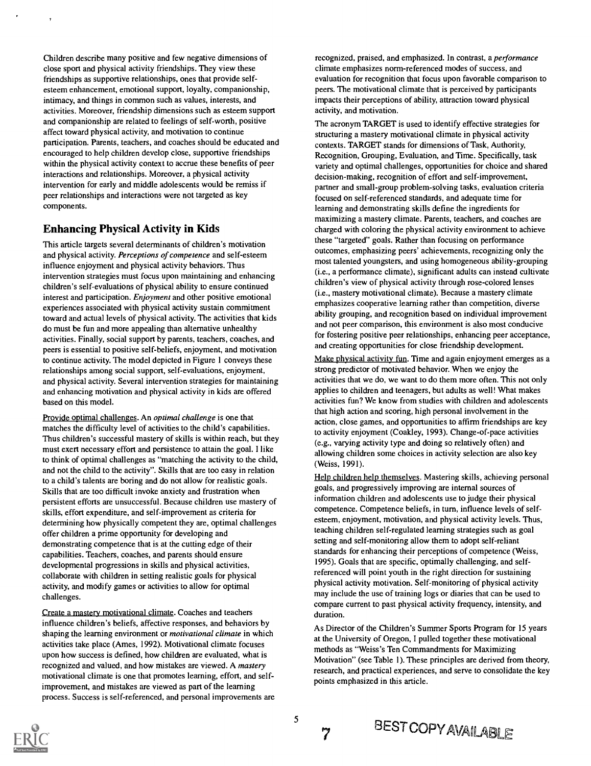Children describe many positive and few negative dimensions of close sport and physical activity friendships. They view these friendships as supportive relationships, ones that provide selfesteem enhancement, emotional support, loyalty, companionship, intimacy, and things in common such as values, interests, and activities. Moreover, friendship dimensions such as esteem support and companionship are related to feelings of self-worth, positive affect toward physical activity, and motivation to continue participation. Parents, teachers, and coaches should be educated and encouraged to help children develop close, supportive friendships within the physical activity context to accrue these benefits of peer interactions and relationships. Moreover, a physical activity intervention for early and middle adolescents would be remiss if peer relationships and interactions were not targeted as key components.

#### Enhancing Physical Activity in Kids

This article targets several determinants of children's motivation and physical activity. Perceptions of competence and self-esteem influence enjoyment and physical activity behaviors. Thus intervention strategies must focus upon maintaining and enhancing children's self-evaluations of physical ability to ensure continued interest and participation. *Enjoyment* and other positive emotional experiences associated with physical activity sustain commitment toward and actual levels of physical activity. The activities that kids do must be fun and more appealing than alternative unhealthy activities. Finally, social support by parents, teachers, coaches, and peers is essential to positive self-beliefs, enjoyment, and motivation to continue activity. The model depicted in Figure 1 conveys these relationships among social support, self-evaluations, enjoyment, and physical activity. Several intervention strategies for maintaining and enhancing motivation and physical activity in kids are offered based on this model.

Provide optimal challenges. An *optimal challenge* is one that matches the difficulty level of activities to the child's capabilities. Thus children's successful mastery of skills is within reach, but they must exert necessary effort and persistence to attain the goal. I like to think of optimal challenges as "matching the activity to the child, and not the child to the activity". Skills that are too easy in relation to a child's talents are boring and do not allow for realistic goals. Skills that are too difficult invoke anxiety and frustration when persistent efforts are unsuccessful. Because children use mastery of skills, effort expenditure, and self-improvement as criteria for determining how physically competent they are, optimal challenges offer children a prime opportunity for developing and demonstrating competence that is at the cutting edge of their capabilities. Teachers, coaches, and parents should ensure developmental progressions in skills and physical activities, collaborate with children in setting realistic goals for physical activity, and modify games or activities to allow for optimal challenges.

Create a mastery motivational climate. Coaches and teachers influence children's beliefs, affective responses, and behaviors by shaping the learning environment or *motivational climate* in which activities take place (Ames, 1992). Motivational climate focuses upon how success is defined, how children are evaluated, what is recognized and valued, and how mistakes are viewed. A mastery motivational climate is one that promotes learning, effort, and selfimprovement, and mistakes are viewed as part of the learning process. Success is self-referenced, and personal improvements are recognized, praised, and emphasized. In contrast, a performance climate emphasizes norm-referenced modes of success, and evaluation for recognition that focus upon favorable comparison to peers. The motivational climate that is perceived by participants impacts their perceptions of ability, attraction toward physical activity, and motivation.

The acronym TARGET is used to identify effective strategies for structuring a mastery motivational climate in physical activity contexts. TARGET stands for dimensions of Task, Authority, Recognition, Grouping, Evaluation, and Time. Specifically, task variety and optimal challenges, opportunities for choice and shared decision-making, recognition of effort and self-improvement, partner and small-group problem-solving tasks, evaluation criteria focused on self-referenced standards, and adequate time for learning and demonstrating skills define the ingredients for maximizing a mastery climate. Parents, teachers, and coaches are charged with coloring the physical activity environment to achieve these "targeted" goals. Rather than focusing on performance outcomes, emphasizing peers' achievements, recognizing only the most talented youngsters, and using homogeneous ability-grouping (i.e., a performance climate), significant adults can instead cultivate children's view of physical activity through rose-colored lenses (i.e., mastery motivational climate). Because a mastery climate emphasizes cooperative learning rather than competition, diverse ability grouping, and recognition based on individual improvement and not peer comparison, this environment is also most conducive for fostering positive peer relationships, enhancing peer acceptance, and creating opportunities for close friendship development.

Make physical activity fun. Time and again enjoyment emerges as a strong predictor of motivated behavior. When we enjoy the activities that we do, we want to do them more often. This not only applies to children and teenagers, but adults as well! What makes activities fun? We know from studies with children and adolescents that high action and scoring, high personal involvement in the action, close games, and opportunities to affirm friendships are key to activity enjoyment (Coakley, 1993). Change-of-pace activities (e.g., varying activity type and doing so relatively often) and allowing children some choices in activity selection are also key (Weiss, 1991).

Help children help themselves. Mastering skills, achieving personal goals, and progressively improving are internal sources of information children and adolescents use to judge their physical competence. Competence beliefs, in turn, influence levels of selfesteem, enjoyment, motivation, and physical activity levels. Thus, teaching children self-regulated learning strategies such as goal setting and self-monitoring allow them to adopt self-reliant standards for enhancing their perceptions of competence (Weiss, 1995). Goals that are specific, optimally challenging, and selfreferenced will point youth in the right direction for sustaining physical activity motivation. Self-monitoring of physical activity may include the use of training logs or diaries that can be used to compare current to past physical activity frequency, intensity, and duration.

As Director of the Children's Summer Sports Program for 15 years at the University of Oregon, I pulled together these motivational methods as "Weiss's Ten Commandments for Maximizing Motivation" (see Table 1). These principles are derived from theory, research, and practical experiences, and serve to consolidate the key points emphasized in this article.



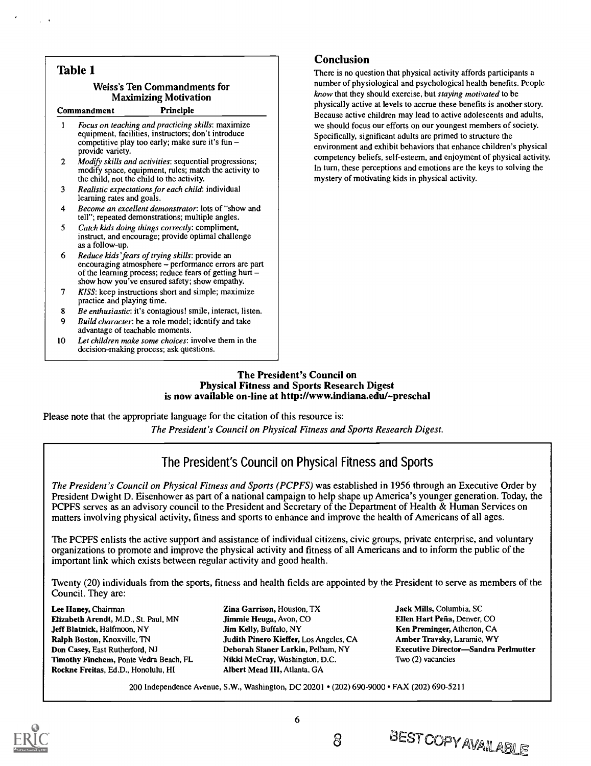| <b>Table 1</b>                                                                                  |                                                                                                                                                                                                                     | <b>Conclusion</b><br>There is no question that physical activity affords participants a<br>number of physiological and psychological health benefits. People<br>know that they should exercise, but staying motivated to be<br>physically active at levels to accrue these benefits is another story.<br>Because active children may lead to active adolescents and adults,                              |
|-------------------------------------------------------------------------------------------------|---------------------------------------------------------------------------------------------------------------------------------------------------------------------------------------------------------------------|----------------------------------------------------------------------------------------------------------------------------------------------------------------------------------------------------------------------------------------------------------------------------------------------------------------------------------------------------------------------------------------------------------|
| <b>Weiss's Ten Commandments for</b><br><b>Maximizing Motivation</b><br>Principle<br>Commandment |                                                                                                                                                                                                                     |                                                                                                                                                                                                                                                                                                                                                                                                          |
| 1                                                                                               | Focus on teaching and practicing skills: maximize<br>equipment, facilities, instructors; don't introduce<br>competitive play too early; make sure it's fun -<br>provide variety.                                    | we should focus our efforts on our youngest members of society.<br>Specifically, significant adults are primed to structure the<br>environment and exhibit behaviors that enhance children's physical<br>competency beliefs, self-esteem, and enjoyment of physical activity.<br>In turn, these perceptions and emotions are the keys to solving the<br>mystery of motivating kids in physical activity. |
| 2                                                                                               | Modify skills and activities: sequential progressions;<br>modify space, equipment, rules; match the activity to<br>the child, not the child to the activity.                                                        |                                                                                                                                                                                                                                                                                                                                                                                                          |
| 3                                                                                               | Realistic expectations for each child: individual<br>learning rates and goals.                                                                                                                                      |                                                                                                                                                                                                                                                                                                                                                                                                          |
| 4                                                                                               | Become an excellent demonstrator: lots of "show and<br>tell"; repeated demonstrations; multiple angles.                                                                                                             |                                                                                                                                                                                                                                                                                                                                                                                                          |
| 5                                                                                               | Catch kids doing things correctly: compliment,<br>instruct, and encourage; provide optimal challenge<br>as a follow-up.                                                                                             |                                                                                                                                                                                                                                                                                                                                                                                                          |
| 6                                                                                               | Reduce kids' fears of trying skills: provide an<br>encouraging atmosphere - performance errors are part<br>of the learning process; reduce fears of getting hurt –<br>show how you've ensured safety; show empathy. |                                                                                                                                                                                                                                                                                                                                                                                                          |
| 7                                                                                               | KISS: keep instructions short and simple; maximize<br>practice and playing time.                                                                                                                                    |                                                                                                                                                                                                                                                                                                                                                                                                          |
| 8                                                                                               | Be enthusiastic: it's contagious! smile, interact, listen.                                                                                                                                                          |                                                                                                                                                                                                                                                                                                                                                                                                          |
| 9                                                                                               | Build character: be a role model; identify and take<br>advantage of teachable moments.                                                                                                                              |                                                                                                                                                                                                                                                                                                                                                                                                          |
| 10 <sup>10</sup>                                                                                | Let children make some choices: involve them in the<br>decision-making process; ask questions.                                                                                                                      |                                                                                                                                                                                                                                                                                                                                                                                                          |

The President's Council on Physical Fitness and Sports Research Digest is now available on-line at http://www.indiana.edu/-preschal

Please note that the appropriate language for the citation of this resource is:

The President's Council on Physical Fitness and Sports Research Digest.

### The President's Council on Physical Fitness and Sports

The President's Council on Physical Fitness and Sports (PCPFS) was established in 1956 through an Executive Order by President Dwight D. Eisenhower as part of a national campaign to help shape up America's younger generation. Today, the PCPFS serves as an advisory council to the President and Secretary of the Department of Health & Human Services on matters involving physical activity, fitness and sports to enhance and improve the health of Americans of all ages.

The PCPFS enlists the active support and assistance of individual citizens, civic groups, private enterprise, and voluntary organizations to promote and improve the physical activity and fitness of all Americans and to inform the public of the important link which exists between regular activity and good health.

Twenty (20) individuals from the sports, fitness and health fields are appointed by the President to serve as members of the Council. They are:

Lee Haney, Chairman Elizabeth Arendt, M.D., St. Paul, MN Jeff Blatnick, Halfmoon, NY Ralph Boston, Knoxville, TN Don Casey, East Rutherford, NJ Timothy Finchem, Ponte Vedra Beach, FL Rockne Freitas, Ed.D., Honolulu, HI

Zina Garrison, Houston, TX Jimmie Heuga, Avon, CO Jim Kelly, Buffalo, NY Judith Pinero Kieffer, Los Angeles, CA Deborah Slaner Larkin, Pelham, NY Nikki McCray, Washington, D.C. Albert Mead III, Atlanta, GA

Jack Mills, Columbia, SC Ellen Hart Pefia, Denver, CO Ken Preminger, Atherton, CA Amber Traysky, Laramie, WY Executive Director-Sandra Perlmutter Two (2) vacancies

200 Independence Avenue, S.W., Washington, DC 20201 • (202) 690-9000 • FAX (202) 690-5211



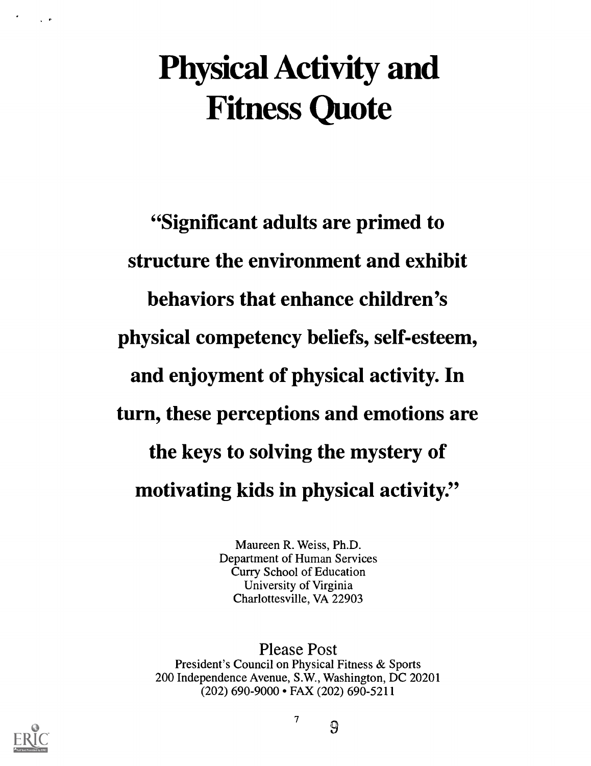# Physical Activity and Fitness Quote

"Significant adults are primed to structure the environment and exhibit behaviors that enhance children's physical competency beliefs, self-esteem, and enjoyment of physical activity. In turn, these perceptions and emotions are the keys to solving the mystery of motivating kids in physical activity."

> Maureen R. Weiss, Ph.D. Department of Human Services Curry School of Education University of Virginia Charlottesville, VA 22903

Please Post President's Council on Physical Fitness & Sports 200 Independence Avenue, S.W., Washington, DC 20201 (202) 690-9000 FAX (202) 690-5211



7 9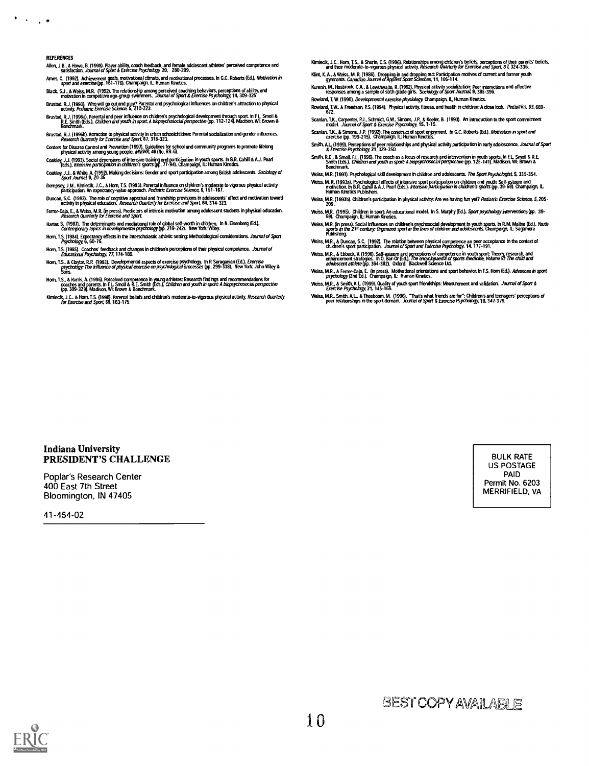$\bullet$  .  $\Box$ 1 L 15

- REFERENCES Allen, J.B., & Howe, B. (1998). Player ability, coach feedback, and female adolescent athletes' perceived competence and<br>satisfaction. *Journal of Sport & Exercise Psychology,* 20, 280-299.
- Ames, C. (1992). Achievement goals, motivational climate, and motivational processes. In G.C. Roberts (Ed.), *Motivation in*<br>sport *and exercise* (pp. 161-176). Champaign, IL: Human Kinetics.
- Black, S.J., & Weiss, M.R. (1992). The relationship among perceived coaching behaviors, perceptions of ability, and<br>motivation in competitive age-group swimmers. *Journal of Sport & Exercise Psychology,* 14, 309-325. Brustad, R.J. (1993). Who will go out and play? Parental and psychological influences on children's attraction to physical<br>Brustad, R.J. (1993). Who will go out and play? Parental and psychological influences on children's
- activity, *Pediatric Exercise Science,* 5, 210-223.<br>Brustad, R.J. (1996a), Parental and peer influence on children's psychological development through sport. In F.L. Smoll &<br>R.C. Smoll the S.J. *Children and youth in sport*
- Brustad, R.J. (1996b). Attraction to physical activity in urban schoolchildren: Parental socialization and gender influences.<br>Research Quarterly for Exercise and Sport, 67, 316-323.
- Research Quarterly for Exercise and Sport, 67, 316-323.<br>Centers for Disease Control and Prevention (1997). Guidelines for school and community programs to promote lifelong<br>physical activity among young people. MMWR, 46 (No
- Coakley J.J. (1993). Social dimensions of intensive training and participation in youth sports. In B.R. Cahill & AJ. Pearl (Eds.), ktensive participation in children's sports (pp. 77-94). Champaign IL Human Kinetics. Coakley, J.J., & White, A. (1992). Making decisions: Gender and sport participation among British adolescents. *Sociology of*<br>Sport *Journal,* 9, 20-35.
- Dempsey, J.M., Kimiecik, J.C., & Hom, T.S. (1993). Parental influence on children's moderate to vigorous physical activity<br>participation: An expectancy-value approach. *Pediatric Exercise Science*, 5, 151-167.
- Duncan, S.C. (1993). The role of cognitive appraisal and friendship provisions in adolescents' affect and motivation toward<br>activity in physical education. *Research Quarterly for Exercise and Sport,* 64, 314-323.
- Ferrer-Caja, E., & Weiss, M.R. (in press). Predictors of intrinsic motivation among adolescent students in physical education.<br>Research Quarterly for Exercise and Sport.
- Harter, S. (1987). The determinants and mediational role of global sett-worth in children. In N. Eisenberg (Ed.).<br>Contemporary topics in developmental psychology (pp. 219-242). New York: Wiley.
- Horn, T.S. (1984). Expectancy effects in the interscholastic athletic setting: Methodological considerations. *Journal of Spo*rt<br>Psyc*hology,* 6, 60-76.
- Horn, T.S. (1985). Coaches' feedback and changes in children's perceptions of their physical competence*. Journal of*<br>Educa*tional Psychology, 77*, 174-186.
- Ham, T.S., & Claytor, R.P. (1993). Developmental aspects of exercise psychology. In P. Seraganian (Ed.), *Exercise*<br>cosp://www.com/psychology: T*he influence of physical exercise on psychological processe*s (pp. 299-338).
- Horn, T.S., & Harris, A. (1996). Perceived competence in young athletes: Research Indings and recommendations for<br>coaches and parents. In F.L. Smoli & R.E. Smith ficts, Children and youth in sport: A biopsychosocial perspe
- Kimiecik, J.C., & Horn, T.S. (1998). Parental beliefs and children's moderate-to-vigorous physical activity. *Research Quarterly*<br>for Exercise and Sport, 69, 163-175.
- Kimiedk, J.C., Horn, T.S., & Shunn, C.S. (1996). Relationships among children's beliefs, perceptions of their parents' beliefs,<br>and their moderate-to-vigorous physical activity. Research *Quarterly for Exercise and Sport,* Kint, K. A., & Weiss, M. R. (1986). Dropping in and dropping out: Participation motives of current and tormer youth<br>gymnasts. *Canadian Journal of Applied Sport Sciences*, 11, 106-114.
- Kunesh, M., Hasbrook, C.A., & Lewthwaite, R. (1992). Physical activity socialization: Peer interactions and affective<br>responses among a sample of sixth grade girls. *"Sociology of Sport Journal* 9, 385-396. Rowland, T. W. (1990). Developmental exercise physiology Champaign IL. Human Kinetics,
- Rowland, T.W., & Freedson, P.S. (1994). Physical activity, fitness, and health in children: A close look. Pediatrics, 93, 669-
- Scanlan, T.K., Carpenter, P.J., Schmidt, G.W., Simons, J.P., & Keeler, B. (1993). An introduction to the sport commitment<br>model. *Journal of Sport & Exercise Psychology,* 15, 1-15.
- Scanlan, T.K., & Simons, J.P. (1992). The construct of sport enjoyment. in G.C. Roberts (Ed.), *Motivation in sport and*<br>exercise (pp. 199-215). Champaign, IL: Human Kinetics.
- Smith, A.L. (1999). Perceptions of peer relationships and physical activity participation in early adolescence. *Journal o*r Sport<br>& Exercise Psychology, 21, 329-350.
- Smith, R.E., & Smoll, F.L. (1996). The coach as a focus of research and intervention in youth sports. In F.L. Smoll & R.E.<br>Smith (Eds.), *Children and youth in sport: A biopsychosocial perspective* (pp. 125-141). Madison, amu trus.<br>Benchmark
- Weiss, M.R. (1991). Psychological skill development in children and adolescents. The Sport Psychologist, 5, 335-354.
- Weiss, M. K. (1993a). Psychological effects of intensive sport participation on children and youth: Self-esteem and<br>motivation: In B. R. Cahill & A.J. Pearl (Eds.), *Intensive participation in children's sports* (pp. 39-69
- Weiss, M.R. (1993b). Children's participation in physical activity: Are we having fun yet? Pediatric Exercise Science, 5, 205-
- Weiss, M.R. (1995). Children in sport: An educational model. In S. Murphy (Ed.), *Sport psychology interventions* (pp. 39-<br>69). Champaign, IL: Human Kinetics.
- Weiss, M.R. (in press). Social influences on children's psychosocial development in youth sports. In R.M. Malina (Ed.), *Youth*<br>sports *in the 21¤ century: Organized sport in the lives of children and adolescent*s. Champai
- Weiss, M.R., & Duncan, S.C. (1992). The relation between physical competence an peer acceptance in the context of<br>children's sport participation. *Journal of Sport and Exercise Psychology,* 14, 177-191.
- Weiss, M. R., & Libbeck, V. (1996). Self-esteem and perceptions of competence in youth sport: Theory, research, and<br>enhancement strategies. In 10. Bar-0r (Ed.), The ensurchopaedia of sports medicine, Volume VI: The child a
- Weiss, M.R., & Ferrer-Caja, E. (in press). Motivational orientations and sport behavior. in T.S. Hom (Ed.), *Advances in sport*<br>psyc*hology* (2nd Ed.). Champaign, IL: Human Kinetics.
- Weiss, M.R., & Smith, A.L. (1999). Quality of youth sport friendships: Measurement and validation. *Journal of Sport &*<br>Exerc*ise Psychology,* 21, 145-166. Weiss, M.R., Smith, A.L., & Theeboom, M. (1996). "That's what friends are for": Children's and teenagers' perceptions of<br>peer relationships in the sport domain. *Journal of Sport & Exercise Psychology,* 18, 347-379.

#### Indiana University PRESIDENT'S CHALLENGE

Poplar's Research Center 400 East 7th Street Bloomington, IN 47405

41-454-02